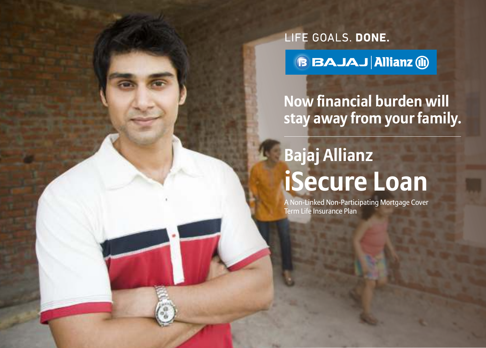LIFE GOALS. DONE.

**BBAJAJ Allianz (ii)** 

## **Now financial burden will stay away from your family.**

# **Bajaj Allianz iSecure Loan**

A Non-Linked Non-Participating Mortgage Cover Term Life Insurance Plan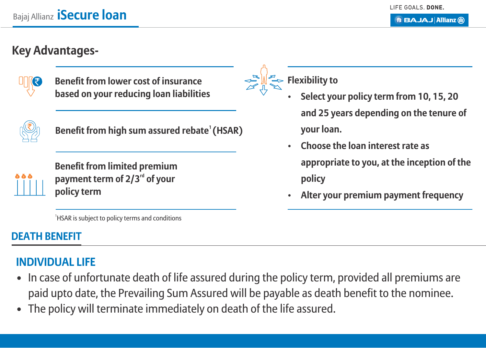## **Key Advantages-**



**Benefit from lower cost of insurance based on your reducing loan liabilities**



**<sup>1</sup>Benefit from high sum assured rebate (HSAR)**

**Benefit from limited premium**  payment term of 2/3<sup>rd</sup> of your **policy term**

**Flexibility to**

- **Select your policy term from 10, 15, 20 and 25 years depending on the tenure of your loan.**
- **Choose the loan interest rate as appropriate to you, at the inception of the policy**
- **Alter your premium payment frequency**

<sup>1</sup>HSAR is subject to policy terms and conditions

## **DEATH BENEFIT**

## **INDIVIDUAL LIFE**

- In case of unfortunate death of life assured during the policy term, provided all premiums are paid upto date, the Prevailing Sum Assured will be payable as death benefit to the nominee.
- The policy will terminate immediately on death of the life assured.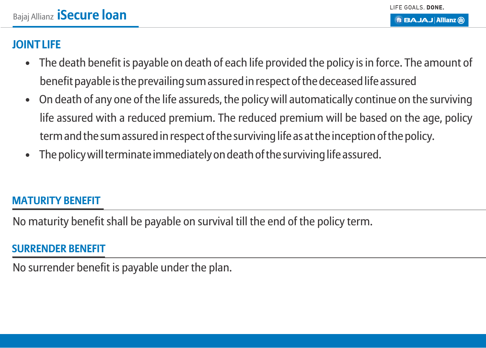#### **JOINT LIFE**

- The death benefit is payable on death of each life provided the policy is in force. The amount of benefit payable is the prevailing sum assured in respect of the deceased life assured
- On death of any one of the life assureds, the policy will automatically continue on the surviving life assured with a reduced premium. The reduced premium will be based on the age, policy term and the sum assured in respect of the surviving life as at the inception of the policy.
- The policy will terminate immediately on death of the surviving life assured.

#### **MATURITY BENEFIT**

No maturity benefit shall be payable on survival till the end of the policy term.

#### **SURRENDER BENEFIT**

No surrender benefit is payable under the plan.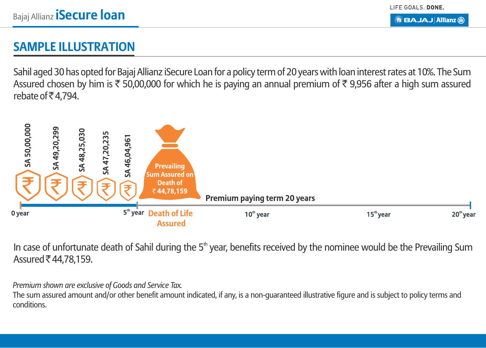LIFE GOALS. DONE.

**B BAJAJ Allianz (ii)** 

## **SAMPLE ILLUSTRATION**

Sahil aged 30 has opted for Bajaj Allianz iSecure Loan for a policy term of 20 years with loan interest rates at 10%. The Sum Assured chosen by him is  $\overline{\xi}$  50,00,000 for which he is paying an annual premium of  $\overline{\xi}$  9,956 after a high sum assured rebate of  $\overline{5}$  4,794.



In case of unfortunate death of Sahil during the 5<sup>th</sup> year, benefits received by the nominee would be the Prevailing Sum Assured ₹44,78,159.

*Premium shown are exclusive of Goods and Service Tax.*

The sum assured amount and/or other benefit amount indicated, if any, is a non-guaranteed illustrative figure and is subject to policy terms and conditions.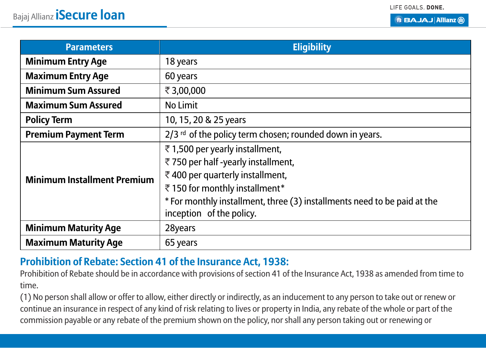LIFE GOALS. DONE.

**BBAJAJAIIianz** ®

| <b>Parameters</b>                  | <b>Eligibility</b>                                                       |
|------------------------------------|--------------------------------------------------------------------------|
| <b>Minimum Entry Age</b>           | 18 years                                                                 |
| <b>Maximum Entry Age</b>           | 60 years                                                                 |
| <b>Minimum Sum Assured</b>         | ₹3,00,000                                                                |
| <b>Maximum Sum Assured</b>         | No Limit                                                                 |
| <b>Policy Term</b>                 | 10, 15, 20 & 25 years                                                    |
| <b>Premium Payment Term</b>        | 2/3 rd of the policy term chosen; rounded down in years.                 |
| <b>Minimum Installment Premium</b> | ₹1,500 per yearly installment,<br>₹750 per half -yearly installment,     |
|                                    | ₹400 per quarterly installment,                                          |
|                                    | ₹150 for monthly installment*                                            |
|                                    | * For monthly installment, three (3) installments need to be paid at the |
|                                    | inception of the policy.                                                 |
| <b>Minimum Maturity Age</b>        | 28years                                                                  |
| <b>Maximum Maturity Age</b>        | 65 years                                                                 |

#### **Prohibition of Rebate: Section 41 of the Insurance Act, 1938:**

Prohibition of Rebate should be in accordance with provisions of section 41 of the Insurance Act, 1938 as amended from time to time.

(1) No person shall allow or offer to allow, either directly or indirectly, as an inducement to any person to take out or renew or continue an insurance in respect of any kind of risk relating to lives or property in India, any rebate of the whole or part of the commission payable or any rebate of the premium shown on the policy, nor shall any person taking out or renewing or